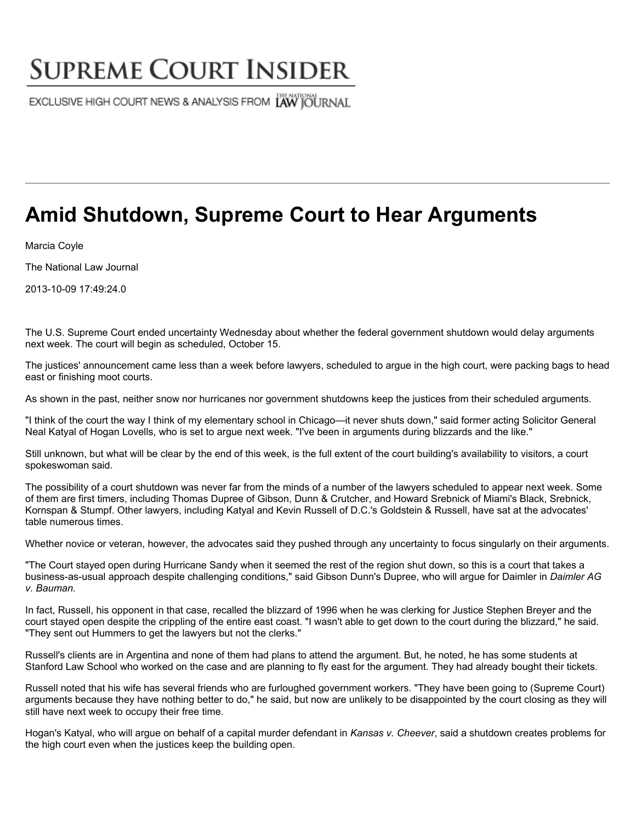## **SUPREME COURT INSIDER**

EXCLUSIVE HIGH COURT NEWS & ANALYSIS FROM LAW JOURNAL

## **Amid Shutdown, Supreme Court to Hear Arguments**

Marcia Coyle

The National Law Journal

2013-10-09 17:49:24.0

The U.S. Supreme Court ended uncertainty Wednesday about whether the federal government shutdown would delay arguments next week. The court will begin as scheduled, October 15.

The justices' announcement came less than a week before lawyers, scheduled to argue in the high court, were packing bags to head east or finishing moot courts.

As shown in the past, neither snow nor hurricanes nor government shutdowns keep the justices from their scheduled arguments.

"I think of the court the way I think of my elementary school in Chicago—it never shuts down," said former acting Solicitor General Neal Katyal of Hogan Lovells, who is set to argue next week. "I've been in arguments during blizzards and the like."

Still unknown, but what will be clear by the end of this week, is the full extent of the court building's availability to visitors, a court spokeswoman said.

The possibility of a court shutdown was never far from the minds of a number of the lawyers scheduled to appear next week. Some of them are first timers, including Thomas Dupree of Gibson, Dunn & Crutcher, and Howard Srebnick of Miami's Black, Srebnick, Kornspan & Stumpf. Other lawyers, including Katyal and Kevin Russell of D.C.'s Goldstein & Russell, have sat at the advocates' table numerous times.

Whether novice or veteran, however, the advocates said they pushed through any uncertainty to focus singularly on their arguments.

"The Court stayed open during Hurricane Sandy when it seemed the rest of the region shut down, so this is a court that takes a business-as-usual approach despite challenging conditions," said Gibson Dunn's Dupree, who will argue for Daimler in *Daimler AG v. Bauman.*

In fact, Russell, his opponent in that case, recalled the blizzard of 1996 when he was clerking for Justice Stephen Breyer and the court stayed open despite the crippling of the entire east coast. "I wasn't able to get down to the court during the blizzard," he said. "They sent out Hummers to get the lawyers but not the clerks."

Russell's clients are in Argentina and none of them had plans to attend the argument. But, he noted, he has some students at Stanford Law School who worked on the case and are planning to fly east for the argument. They had already bought their tickets.

Russell noted that his wife has several friends who are furloughed government workers. "They have been going to (Supreme Court) arguments because they have nothing better to do," he said, but now are unlikely to be disappointed by the court closing as they will still have next week to occupy their free time.

Hogan's Katyal, who will argue on behalf of a capital murder defendant in *Kansas v. Cheever*, said a shutdown creates problems for the high court even when the justices keep the building open.